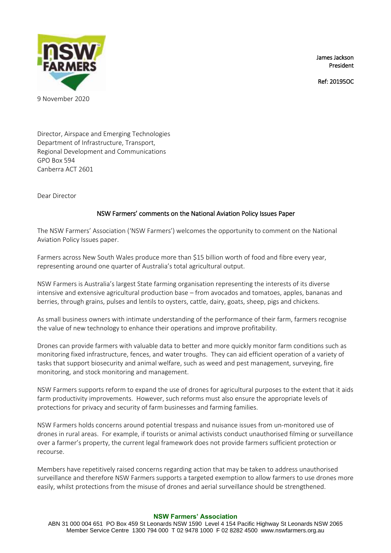James Jackson President

Ref: 20195OC



9 November 2020

Director, Airspace and Emerging Technologies Department of Infrastructure, Transport, Regional Development and Communications GPO Box 594 Canberra ACT 2601

Dear Director

# NSW Farmers' comments on the National Aviation Policy Issues Paper

The NSW Farmers' Association ('NSW Farmers') welcomes the opportunity to comment on the National Aviation Policy Issues paper.

Farmers across New South Wales produce more than \$15 billion worth of food and fibre every year, representing around one quarter of Australia's total agricultural output.

NSW Farmers is Australia's largest State farming organisation representing the interests of its diverse intensive and extensive agricultural production base – from avocados and tomatoes, apples, bananas and berries, through grains, pulses and lentils to oysters, cattle, dairy, goats, sheep, pigs and chickens.

As small business owners with intimate understanding of the performance of their farm, farmers recognise the value of new technology to enhance their operations and improve profitability.

Drones can provide farmers with valuable data to better and more quickly monitor farm conditions such as monitoring fixed infrastructure, fences, and water troughs. They can aid efficient operation of a variety of tasks that support biosecurity and animal welfare, such as weed and pest management, surveying, fire monitoring, and stock monitoring and management.

NSW Farmers supports reform to expand the use of drones for agricultural purposes to the extent that it aids farm productivity improvements. However, such reforms must also ensure the appropriate levels of protections for privacy and security of farm businesses and farming families.

NSW Farmers holds concerns around potential trespass and nuisance issues from un-monitored use of drones in rural areas. For example, if tourists or animal activists conduct unauthorised filming or surveillance over a farmer's property, the current legal framework does not provide farmers sufficient protection or recourse.

Members have repetitively raised concerns regarding action that may be taken to address unauthorised surveillance and therefore NSW Farmers supports a targeted exemption to allow farmers to use drones more easily, whilst protections from the misuse of drones and aerial surveillance should be strengthened.

#### **NSW Farmers' Association**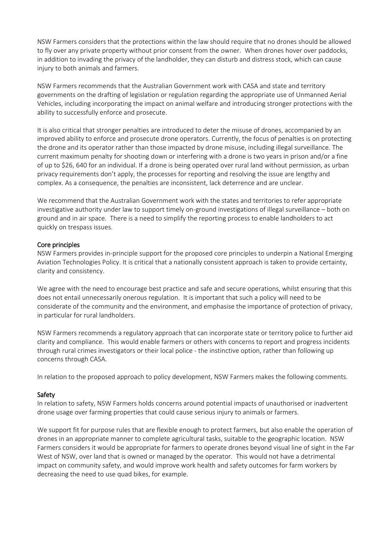NSW Farmers considers that the protections within the law should require that no drones should be allowed to fly over any private property without prior consent from the owner. When drones hover over paddocks, in addition to invading the privacy of the landholder, they can disturb and distress stock, which can cause injury to both animals and farmers.

NSW Farmers recommends that the Australian Government work with CASA and state and territory governments on the drafting of legislation or regulation regarding the appropriate use of Unmanned Aerial Vehicles, including incorporating the impact on animal welfare and introducing stronger protections with the ability to successfully enforce and prosecute.

It is also critical that stronger penalties are introduced to deter the misuse of drones, accompanied by an improved ability to enforce and prosecute drone operators. Currently, the focus of penalties is on protecting the drone and its operator rather than those impacted by drone misuse, including illegal surveillance. The current maximum penalty for shooting down or interfering with a drone is two years in prison and/or a fine of up to \$26, 640 for an individual. If a drone is being operated over rural land without permission, as urban privacy requirements don't apply, the processes for reporting and resolving the issue are lengthy and complex. As a consequence, the penalties are inconsistent, lack deterrence and are unclear.

We recommend that the Australian Government work with the states and territories to refer appropriate investigative authority under law to support timely on-ground investigations of illegal surveillance – both on ground and in air space. There is a need to simplify the reporting process to enable landholders to act quickly on trespass issues.

## Core principles

NSW Farmers provides in-principle support for the proposed core principles to underpin a National Emerging Aviation Technologies Policy. It is critical that a nationally consistent approach is taken to provide certainty, clarity and consistency.

We agree with the need to encourage best practice and safe and secure operations, whilst ensuring that this does not entail unnecessarily onerous regulation. It is important that such a policy will need to be considerate of the community and the environment, and emphasise the importance of protection of privacy, in particular for rural landholders.

NSW Farmers recommends a regulatory approach that can incorporate state or territory police to further aid clarity and compliance. This would enable farmers or others with concerns to report and progress incidents through rural crimes investigators or their local police - the instinctive option, rather than following up concerns through CASA.

In relation to the proposed approach to policy development, NSW Farmers makes the following comments.

# Safety

In relation to safety, NSW Farmers holds concerns around potential impacts of unauthorised or inadvertent drone usage over farming properties that could cause serious injury to animals or farmers.

We support fit for purpose rules that are flexible enough to protect farmers, but also enable the operation of drones in an appropriate manner to complete agricultural tasks, suitable to the geographic location. NSW Farmers considers it would be appropriate for farmers to operate drones beyond visual line of sight in the Far West of NSW, over land that is owned or managed by the operator. This would not have a detrimental impact on community safety, and would improve work health and safety outcomes for farm workers by decreasing the need to use quad bikes, for example.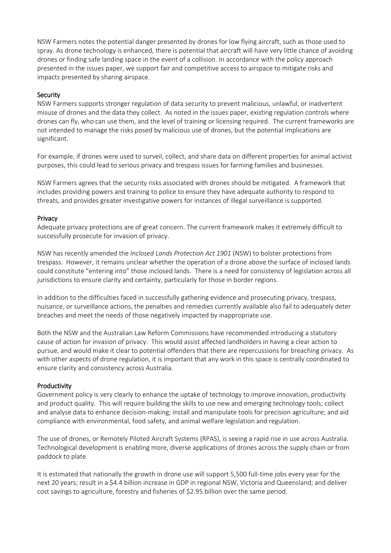NSW Farmers notes the potential danger presented by drones for low flying aircraft, such as those used to spray. As drone technology is enhanced, there is potential that aircraft will have very little chance of avoiding drones or finding safe landing space in the event of a collision. In accordance with the policy approach presented in the issues paper, we support fair and competitive access to airspace to mitigate risks and impacts presented by sharing airspace.

### Security

NSW Farmers supports stronger regulation of data security to prevent malicious, unlawful, or inadvertent misuse of drones and the data they collect. As noted in the issues paper, existing regulation controls where drones can fly, who can use them, and the level of training or licensing required. The current frameworks are not intended to manage the risks posed by malicious use of drones, but the potential implications are significant.

For example, if drones were used to surveil, collect, and share data on different properties for animal activist purposes, this could lead to serious privacy and trespass issues for farming families and businesses.

NSW Farmers agrees that the security risks associated with drones should be mitigated. A framework that includes providing powers and training to police to ensure they have adequate authority to respond to threats, and provides greater investigative powers for instances of illegal surveillance is supported.

### Privacy

Adequate privacy protections are of great concern. The current framework makes it extremely difficult to successfully prosecute for invasion of privacy.

NSW has recently amended the *Inclosed Lands Protection Act 1901* (NSW) to bolster protections from trespass. However, it remains unclear whether the operation of a drone above the surface of inclosed lands could constitute "entering into" those inclosed lands. There is a need for consistency of legislation across all jurisdictions to ensure clarity and certainty, particularly for those in border regions.

In addition to the difficulties faced in successfully gathering evidence and prosecuting privacy, trespass, nuisance, or surveillance actions, the penalties and remedies currently available also fail to adequately deter breaches and meet the needs of those negatively impacted by inappropriate use.

Both the NSW and the Australian Law Reform Commissions have recommended introducing a statutory cause of action for invasion of privacy. This would assist affected landholders in having a clear action to pursue, and would make it clear to potential offenders that there are repercussions for breaching privacy. As with other aspects of drone regulation, it is important that any work in this space is centrally coordinated to ensure clarity and consistency across Australia.

#### Productivity

Government policy is very clearly to enhance the uptake of technology to improve innovation, productivity and product quality. This will require building the skills to use new and emerging technology tools; collect and analyse data to enhance decision-making; install and manipulate tools for precision agriculture; and aid compliance with environmental, food safety, and animal welfare legislation and regulation.

The use of drones, or Remotely Piloted Aircraft Systems (RPAS), is seeing a rapid rise in use across Australia. Technological development is enabling more, diverse applications of drones across the supply chain or from paddock to plate.

It is estimated that nationally the growth in drone use will support 5,500 full-time jobs every year for the next 20 years; result in a \$4.4 billion increase in GDP in regional NSW, Victoria and Queensland; and deliver cost savings to agriculture, forestry and fisheries of \$2.95 billion over the same period.